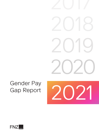# 2020 2019

# Gender Pay Gap Report

2021

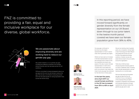FNZ is committed to providing a fair, equal and inclusive workplace for our diverse, global workforce.



We are passionate about improving diversity and are working hard to reduce our gender pay gap.

We publish statistics on our gender pay gap including the difference between the average amount women and men are paid across our UK workforce.

FNZ are committed to being transparent about our pay gap and the work we are doing to reduce the gap. We are also committed to ensuring women and men are paid equally for doing equivalent roles across the whole Group.

Our pay gap continues to be driven by the higher representation of men in senior roles which generally pay higher. We are now tracking close to gender parity. As a comparison, Harvey Nash in their Technology and Talent Report 2021 stated that women account for 15% of the global technology workforce. However, we are very aware that we need to focus on parity across the organization.

Whilst we have seen an increase in female representation across the business and in three of the four quartiles we remain very aware of the dip in senior female representation in 2021 which, coupled with more balanced junior recruitment, has meant the mean hourly pay gap has widened for the first time in three years.

We know that reducing the gender pay gap will take time but we continue to focus on all aspects of the employee lifecycle (talent acquisition, progression and retention) and employee experience through a gender lens, aiming to reduce the gender pay gap year on year.

In the last five years, since April 2017 our overall female workforce in the UK has increased from 35% to 45% in April 2021.



That's why in 2022 we have introduced gender diversity goals for our Senior Leadership Team, including senior female representation, and are tracking this on a monthly basis.

In this reporting period, we have moved forward significantly on gender diversity from the female representation on our UK Board down through to our junior talent. In the twelve month period covered we have seen our female population grow from 38% to 45%.

Matthew Ferman CEO, FNZ (UK) Limited



Elaine McCaffrey Chief Human Resources Officer, FNZ (UK) Limited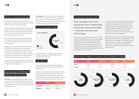$FNZ$ 

In April 2017, UK Gender Pay reporting was introduced to demonstrate the difference in the average hourly earnings between men and women in the workplace.

The gap is expressed as a percentage of men's earnings and primarily reflects where men sit in the organisation hierarchy compared to female colleagues. All employers with more than 250 employees are required to publish statistics relating to UK employee pay.

The reporting of the gender pay gap provides a chance for companies to be transparent about their workforce composition and what action they are taking to reduce any identified gap.

The mean is calculated by adding together all the numbers , and then dividing the result by how many numbers were in the list. The mean gender pay gap is the difference in the average hourly pay for women compared to men.

Separately UK Equal Pay legislation examines employee roles and ensures employers cannot pay individuals differently for performing the same or similar work, or work of equal value. In contrast, gender pay gap calculations do not take into consideration the role that the employee is performing or the seniority of the employee and only consider the "average" employee of each gender.

In compliance with the legislation the data submitted is based on employees working for FNZ (UK) Ltd and whom are based in the United Kingdom.

The median is the middle point of a number set, in which half the numbers are above the median and half are below. The median gender pay gap is the difference between the hourly pay rate for the middle woman compared to that of the middle man.

#### **FNZ UK Population Split**

#### What is the Gender Pay Gap

Since April 2020 we have seen our overall female workforce increase from 38% to 45%, a seven percentage point increase.

#### **Calculations**

Data is taken as a snapshot, 5 April 2021, based on FNZ (UK) Ltd headcount consisting of 330 women and 403 men.



## Pay & Bonus: The difference Between Men & Women

The table below shows our overall mean and median gender pay gap based on hourly rates of pay as at the snapshot date, It also captures the mean and median difference between bonuses paid to men and women in the preceding 12 months to 5 April 2021.

|                   | <b>Mean</b> | <b>Median</b> |
|-------------------|-------------|---------------|
| <b>Hourly Pay</b> | 27.9%       | $21.1\%$      |
| <b>Bonuses</b>    | 56.5%       | 22.6%         |

#### The Gender Pay Gap at FNZ

The mean bonus gap has fallen from 95.7% in 2017 to 56.5% in 2021. We continue to focus on equitable allocation of incentive payments including equity awards and our Long Term Incentive Plan which recognises the commitment and dedication of all staff at all levels in the organisation based on their individual performance and delivery against the long term objectives of the company.

FNZ operates within two industries which traditionally have been male dominated – financial services and technology.

The mean hourly rate gap has increased year on year to 27.9%, this is due to the increase in the number of women at the middle to junior levels and some regretted losses at the more senior levels. We are working to address the gap with the introduction of gender diversity goals which focus on the retention of senior women; more diverse hiring and promotions across the organisation.



Year on year we have seen a 10% plus point increase in female representation in the Upper Middle, Lower Middle and Lower quartiles. This increase in female representation in the middle to lower quartiles is positive for our future talent pipeline, although initially it has contributed to a widening of the mean hourly rate gap.

#### Percentage of Males & Females in Each Quartile Pay Band

| Gender | <b>Upper</b> | <b>Upper Mido</b> |
|--------|--------------|-------------------|
| Male   | 72.5%        | 57.9%             |
| Female | 27.5%        | $42.1\%$          |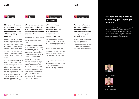#### **Culture**

FNZ is an environment where talent, ambition and results are more important than length of tenure, background or gender.

We are truly a global; multi-cultural; geographically spread workforce and we embrace that diversity of thought and contribution. Our positive culture supports a variety of flexible working options available to all employees.

As part of our pay and benefits we offer enhanced maternity, paternity, adoption and shared parental leave policies.

In 2022 we set gender diversity goals for overall population and senior female representation for the whole organisation and for each business function. These are included in the senior leadership scorecards alongside all other business metrics. We are committed to achieving gender parity across the global organisation. In FNZ UK the female workforce now stands at 52% an increase of 9% points since 2018.



We work to ensure that recruitment decisions are fair and transparent and require all candidate shortlists diverse.

We commit to using diverse selection panels wherever possible and ensure that all selection decisions are unbiased.

We remain focused on providing ample opportunities for both male and female staff to develop and grow their careers at FNZ. Globally we actively encourage internal career development and promotion for both male and female employees.

In 2021, FNZ continued to hire graduates throughout the business, including our established graduate scheme. Of the graduates hired in 2021 we had a 50/50 gender split.

We recognise that tackling the gender pay gap will take time, but we are committed to doing so. As we operate as an equal opportunities employer, we fundamentally believe in appointing the best candidate into the role regardless of gender or other factors covered by the Equality Act.

Performance management, reward and bonus calibration are reviewed with a diversity lens to ensure fairness and equity and to root out potential bias in people manager decision making process.

# **Development & Learning**



We have continued to develop and enhance multiple external strategic partnerships to progressively narrow societal norms.

Delivering cultural change through early-stage career choices and pathways will result in long-term positive societal change and inspire the current and next generations to both study STEM subjects and explore careers with FNZ.

We're committed to providing extensive education & development opportunities for all FNZ colleagues.

Training for people managers on "unconscious Bias" to help increase awareness, impact and strategies to counteract potential bias

Diversity & Inclusion modules into our new to role people managers programme, again to raise awareness and provide support and resources with a particular focus on being an inclusive leader.

A new global induction programme for all hires ensuring a consistent welcome and onboarding experience, providing access to learning tools and resources available including modules on diversity and inclusion.

.

### FNZ confirms the published gender pay gap reporting is accurate.



Matthew Ferman CEO, FNZ (UK) Limited



Elaine McCaffrey Chief Human Resources Officer, FNZ (UK) Limited